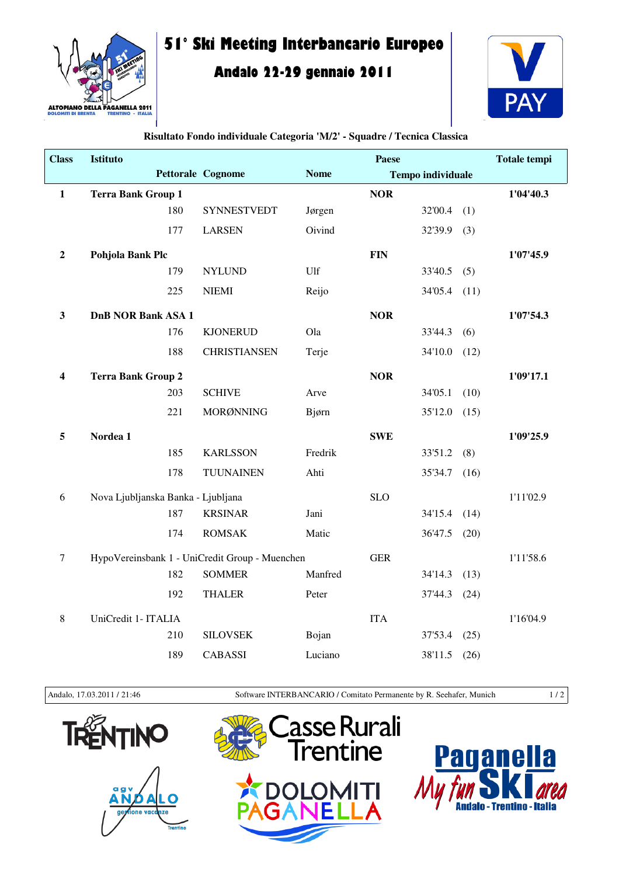

## **51° Ski Meeting Interbancario Europeo**

## **Andalo 22-29 gennaio 2011**



| <b>Class</b>            | Istituto                           |     |                                                                 |             | Paese      |                          |      | <b>Totale tempi</b> |
|-------------------------|------------------------------------|-----|-----------------------------------------------------------------|-------------|------------|--------------------------|------|---------------------|
|                         |                                    |     | Pettorale Cognome                                               | <b>Nome</b> |            | <b>Tempo individuale</b> |      |                     |
| $\mathbf{1}$            | <b>Terra Bank Group 1</b>          |     |                                                                 |             | <b>NOR</b> |                          |      | 1'04'40.3           |
|                         |                                    | 180 | <b>SYNNESTVEDT</b>                                              | Jørgen      |            | 32'00.4                  | (1)  |                     |
|                         |                                    | 177 | <b>LARSEN</b>                                                   | Oivind      |            | 32'39.9                  | (3)  |                     |
| $\boldsymbol{2}$        | Pohjola Bank Plc                   |     |                                                                 |             | <b>FIN</b> |                          |      | 1'07'45.9           |
|                         |                                    | 179 | <b>NYLUND</b>                                                   | Ulf         |            | 33'40.5                  | (5)  |                     |
|                         |                                    | 225 | <b>NIEMI</b>                                                    | Reijo       |            | 34'05.4 (11)             |      |                     |
| $\mathbf{3}$            | <b>DnB NOR Bank ASA 1</b>          |     |                                                                 |             | <b>NOR</b> |                          |      | 1'07'54.3           |
|                         |                                    | 176 | <b>KJONERUD</b>                                                 | Ola         |            | 33'44.3                  | (6)  |                     |
|                         |                                    | 188 | <b>CHRISTIANSEN</b>                                             | Terje       |            | 34'10.0                  | (12) |                     |
| $\overline{\mathbf{4}}$ | <b>Terra Bank Group 2</b>          |     |                                                                 |             | <b>NOR</b> |                          |      | 1'09'17.1           |
|                         |                                    | 203 | <b>SCHIVE</b>                                                   | Arve        |            | 34'05.1                  | (10) |                     |
|                         |                                    | 221 | MORØNNING                                                       | Bjørn       |            | 35'12.0                  | (15) |                     |
| 5                       | Nordea 1                           |     |                                                                 |             | <b>SWE</b> |                          |      | 1'09'25.9           |
|                         |                                    | 185 | <b>KARLSSON</b>                                                 | Fredrik     |            | 33'51.2                  | (8)  |                     |
|                         |                                    | 178 | <b>TUUNAINEN</b>                                                | Ahti        |            | 35'34.7                  | (16) |                     |
|                         |                                    |     |                                                                 |             |            |                          |      |                     |
| 6                       | Nova Ljubljanska Banka - Ljubljana | 187 | <b>KRSINAR</b>                                                  | Jani        | <b>SLO</b> | 34'15.4                  | (14) | 1'11'02.9           |
|                         |                                    | 174 | <b>ROMSAK</b>                                                   | Matic       |            | 36'47.5                  | (20) |                     |
|                         |                                    |     |                                                                 |             |            |                          |      |                     |
| $\tau$                  |                                    | 182 | HypoVereinsbank 1 - UniCredit Group - Muenchen<br><b>SOMMER</b> | Manfred     | <b>GER</b> | 34'14.3                  | (13) | 1'11'58.6           |
|                         |                                    |     |                                                                 |             |            |                          |      |                     |
|                         |                                    | 192 | <b>THALER</b>                                                   | Peter       |            | 37'44.3                  | (24) |                     |
| $\,8\,$                 | UniCredit 1- ITALIA                |     |                                                                 |             | <b>ITA</b> |                          |      | 1'16'04.9           |
|                         |                                    | 210 | <b>SILOVSEK</b>                                                 | Bojan       |            | 37'53.4                  | (25) |                     |
|                         |                                    | 189 | <b>CABASSI</b>                                                  | Luciano     |            | 38'11.5                  | (26) |                     |

## **Risultato Fondo individuale Categoria 'M/2' - Squadre / Tecnica Classica**

Andalo, 17.03.2011 / 21:46 Software INTERBANCARIO / Comitato Permanente by R. Seehafer, Munich 1 / 2